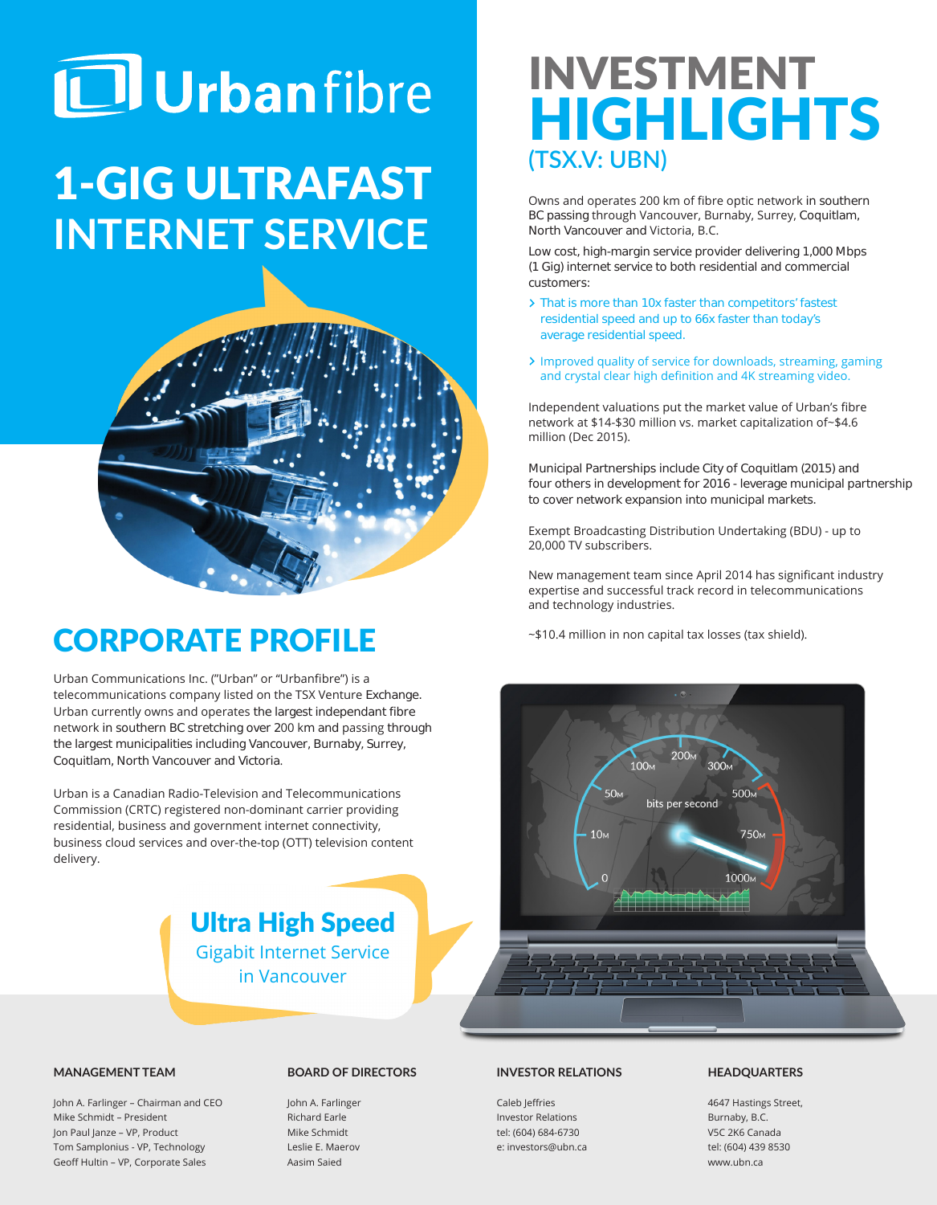# **ID** Urbanfibre

## 1-GIG ULTRAFAST **INTERNET SERVICE**



## CORPORATE PROFILE

Urban Communications Inc. ("Urban" or "Urbanfibre") is a telecommunications company listed on the TSX Venture Exchange. Urban currently owns and operates the largest independant fibre network in southern BC stretching over 200 km and passing through the largest municipalities including Vancouver, Burnaby, Surrey, Coquitlam, North Vancouver and Victoria.

Urban is a Canadian Radio-Television and Telecommunications Commission (CRTC) registered non-dominant carrier providing residential, business and government internet connectivity, business cloud services and over-the-top (OTT) television content delivery.



## INVESTMENT HIGHLIGHTS **(TSX.V: UBN)**

Owns and operates 200 km of fibre optic network in southern BC passing through Vancouver, Burnaby, Surrey, Coquitlam, North Vancouver and Victoria, B.C.

Low cost, high-margin service provider delivering 1,000 Mbps (1 Gig) internet service to both residential and commercial customers:

- > That is more than 10x faster than competitors' fastest residential speed and up to 66x faster than today's average residential speed.
- > Improved quality of service for downloads, streaming, gaming and crystal clear high definition and 4K streaming video.

Independent valuations put the market value of Urban's fibre network at \$14-\$30 million vs. market capitalization of~\$4.6 million (Dec 2015).

Municipal Partnerships include City of Coquitlam (2015) and four others in development for 2016 - leverage municipal partnership to cover network expansion into municipal markets.

Exempt Broadcasting Distribution Undertaking (BDU) - up to 20,000 TV subscribers.

New management team since April 2014 has significant industry expertise and successful track record in telecommunications and technology industries.

~\$10.4 million in non capital tax losses (tax shield).



#### **MANAGEMENT TEAM**

John A. Farlinger – Chairman and CEO Mike Schmidt – President Jon Paul Janze – VP, Product Tom Samplonius - VP, Technology Geoff Hultin – VP, Corporate Sales

#### **BOARD OF DIRECTORS**

John A. Farlinger Richard Earle Mike Schmidt Leslie E. Maerov Aasim Saied

#### **INVESTOR RELATIONS**

Caleb Jeffries Investor Relations tel: (604) 684-6730 e: investors@ubn.ca

#### **HEADQUARTERS**

4647 Hastings Street, Burnaby, B.C. V5C 2K6 Canada tel: (604) 439 8530 www.ubn.ca